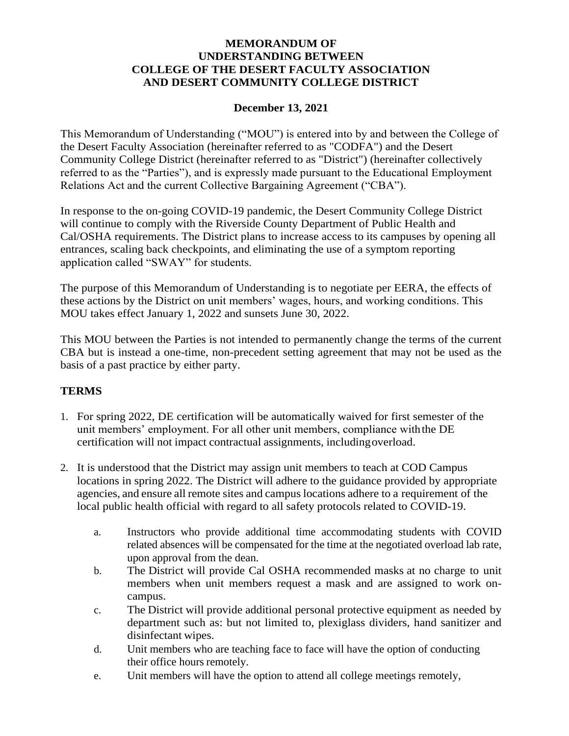## **MEMORANDUM OF UNDERSTANDING BETWEEN COLLEGE OF THE DESERT FACULTY ASSOCIATION AND DESERT COMMUNITY COLLEGE DISTRICT**

## **December 13, 2021**

This Memorandum of Understanding ("MOU") is entered into by and between the College of the Desert Faculty Association (hereinafter referred to as "CODFA") and the Desert Community College District (hereinafter referred to as "District") (hereinafter collectively referred to as the "Parties"), and is expressly made pursuant to the Educational Employment Relations Act and the current Collective Bargaining Agreement ("CBA").

In response to the on-going COVID-19 pandemic, the Desert Community College District will continue to comply with the Riverside County Department of Public Health and Cal/OSHA requirements. The District plans to increase access to its campuses by opening all entrances, scaling back checkpoints, and eliminating the use of a symptom reporting application called "SWAY" for students.

The purpose of this Memorandum of Understanding is to negotiate per EERA, the effects of these actions by the District on unit members' wages, hours, and working conditions. This MOU takes effect January 1, 2022 and sunsets June 30, 2022.

This MOU between the Parties is not intended to permanently change the terms of the current CBA but is instead a one-time, non-precedent setting agreement that may not be used as the basis of a past practice by either party.

## **TERMS**

- 1. For spring 2022, DE certification will be automatically waived for first semester of the unit members' employment. For all other unit members, compliance withthe DE certification will not impact contractual assignments, includingoverload.
- 2. It is understood that the District may assign unit members to teach at COD Campus locations in spring 2022. The District will adhere to the guidance provided by appropriate agencies, and ensure all remote sites and campus locations adhere to a requirement of the local public health official with regard to all safety protocols related to COVID-19.
	- a. Instructors who provide additional time accommodating students with COVID related absences will be compensated for the time at the negotiated overload lab rate, upon approval from the dean.
	- b. The District will provide Cal OSHA recommended masks at no charge to unit members when unit members request a mask and are assigned to work oncampus.
	- c. The District will provide additional personal protective equipment as needed by department such as: but not limited to, plexiglass dividers, hand sanitizer and disinfectant wipes.
	- d. Unit members who are teaching face to face will have the option of conducting their office hours remotely.
	- e. Unit members will have the option to attend all college meetings remotely,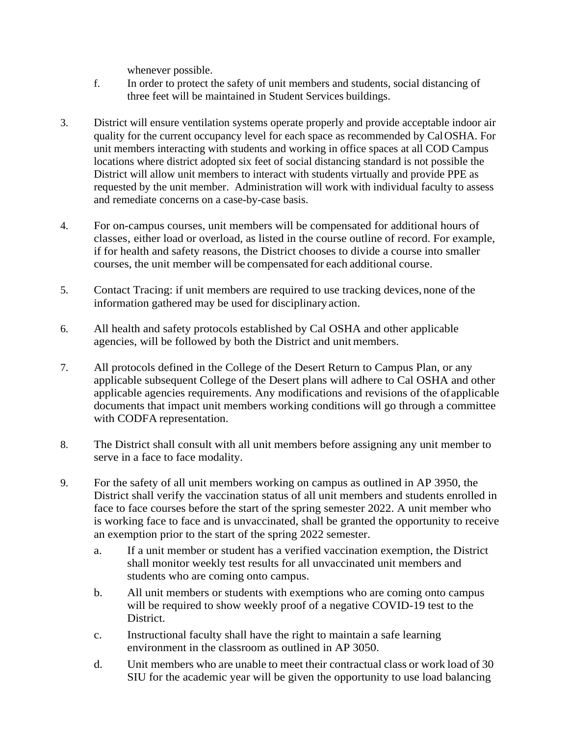whenever possible.

- f. In order to protect the safety of unit members and students, social distancing of three feet will be maintained in Student Services buildings.
- 3. District will ensure ventilation systems operate properly and provide acceptable indoor air quality for the current occupancy level for each space as recommended by CalOSHA. For unit members interacting with students and working in office spaces at all COD Campus locations where district adopted six feet of social distancing standard is not possible the District will allow unit members to interact with students virtually and provide PPE as requested by the unit member. Administration will work with individual faculty to assess and remediate concerns on a case-by-case basis.
- 4. For on-campus courses, unit members will be compensated for additional hours of classes, either load or overload, as listed in the course outline of record. For example, if for health and safety reasons, the District chooses to divide a course into smaller courses, the unit member will be compensated for each additional course.
- 5. Contact Tracing: if unit members are required to use tracking devices, none of the information gathered may be used for disciplinary action.
- 6. All health and safety protocols established by Cal OSHA and other applicable agencies, will be followed by both the District and unit members.
- 7. All protocols defined in the College of the Desert Return to Campus Plan, or any applicable subsequent College of the Desert plans will adhere to Cal OSHA and other applicable agencies requirements. Any modifications and revisions of the ofapplicable documents that impact unit members working conditions will go through a committee with CODFA representation.
- 8. The District shall consult with all unit members before assigning any unit member to serve in a face to face modality.
- 9. For the safety of all unit members working on campus as outlined in AP 3950, the District shall verify the vaccination status of all unit members and students enrolled in face to face courses before the start of the spring semester 2022. A unit member who is working face to face and is unvaccinated, shall be granted the opportunity to receive an exemption prior to the start of the spring 2022 semester.
	- a. If a unit member or student has a verified vaccination exemption, the District shall monitor weekly test results for all unvaccinated unit members and students who are coming onto campus.
	- b. All unit members or students with exemptions who are coming onto campus will be required to show weekly proof of a negative COVID-19 test to the District.
	- c. Instructional faculty shall have the right to maintain a safe learning environment in the classroom as outlined in AP 3050.
	- d. Unit members who are unable to meet their contractual class or work load of 30 SIU for the academic year will be given the opportunity to use load balancing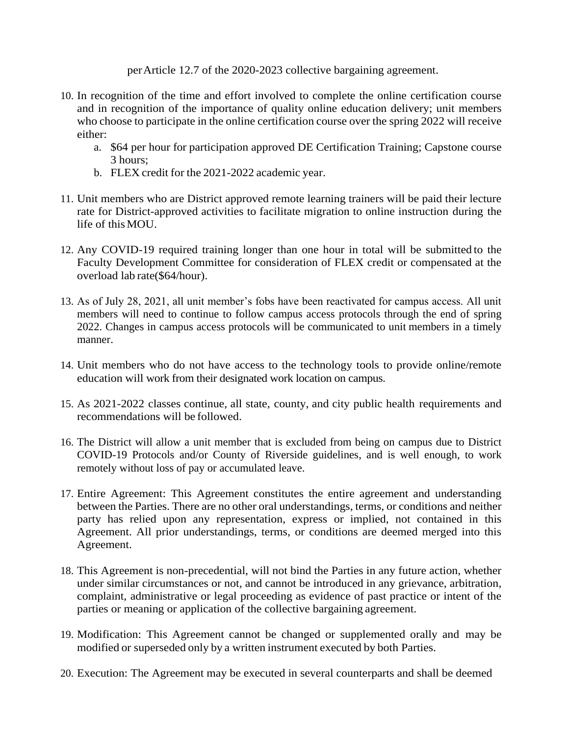perArticle 12.7 of the 2020-2023 collective bargaining agreement.

- 10. In recognition of the time and effort involved to complete the online certification course and in recognition of the importance of quality online education delivery; unit members who choose to participate in the online certification course over the spring 2022 will receive either:
	- a. \$64 per hour for participation approved DE Certification Training; Capstone course 3 hours;
	- b. FLEX credit for the 2021-2022 academic year.
- 11. Unit members who are District approved remote learning trainers will be paid their lecture rate for District-approved activities to facilitate migration to online instruction during the life of thisMOU.
- 12. Any COVID-19 required training longer than one hour in total will be submitted to the Faculty Development Committee for consideration of FLEX credit or compensated at the overload lab rate(\$64/hour).
- 13. As of July 28, 2021, all unit member's fobs have been reactivated for campus access. All unit members will need to continue to follow campus access protocols through the end of spring 2022. Changes in campus access protocols will be communicated to unit members in a timely manner.
- 14. Unit members who do not have access to the technology tools to provide online/remote education will work from their designated work location on campus.
- 15. As 2021-2022 classes continue, all state, county, and city public health requirements and recommendations will be followed.
- 16. The District will allow a unit member that is excluded from being on campus due to District COVID-19 Protocols and/or County of Riverside guidelines, and is well enough, to work remotely without loss of pay or accumulated leave.
- 17. Entire Agreement: This Agreement constitutes the entire agreement and understanding between the Parties. There are no other oral understandings, terms, or conditions and neither party has relied upon any representation, express or implied, not contained in this Agreement. All prior understandings, terms, or conditions are deemed merged into this Agreement.
- 18. This Agreement is non-precedential, will not bind the Parties in any future action, whether under similar circumstances or not, and cannot be introduced in any grievance, arbitration, complaint, administrative or legal proceeding as evidence of past practice or intent of the parties or meaning or application of the collective bargaining agreement.
- 19. Modification: This Agreement cannot be changed or supplemented orally and may be modified or superseded only by a written instrument executed by both Parties.
- 20. Execution: The Agreement may be executed in several counterparts and shall be deemed